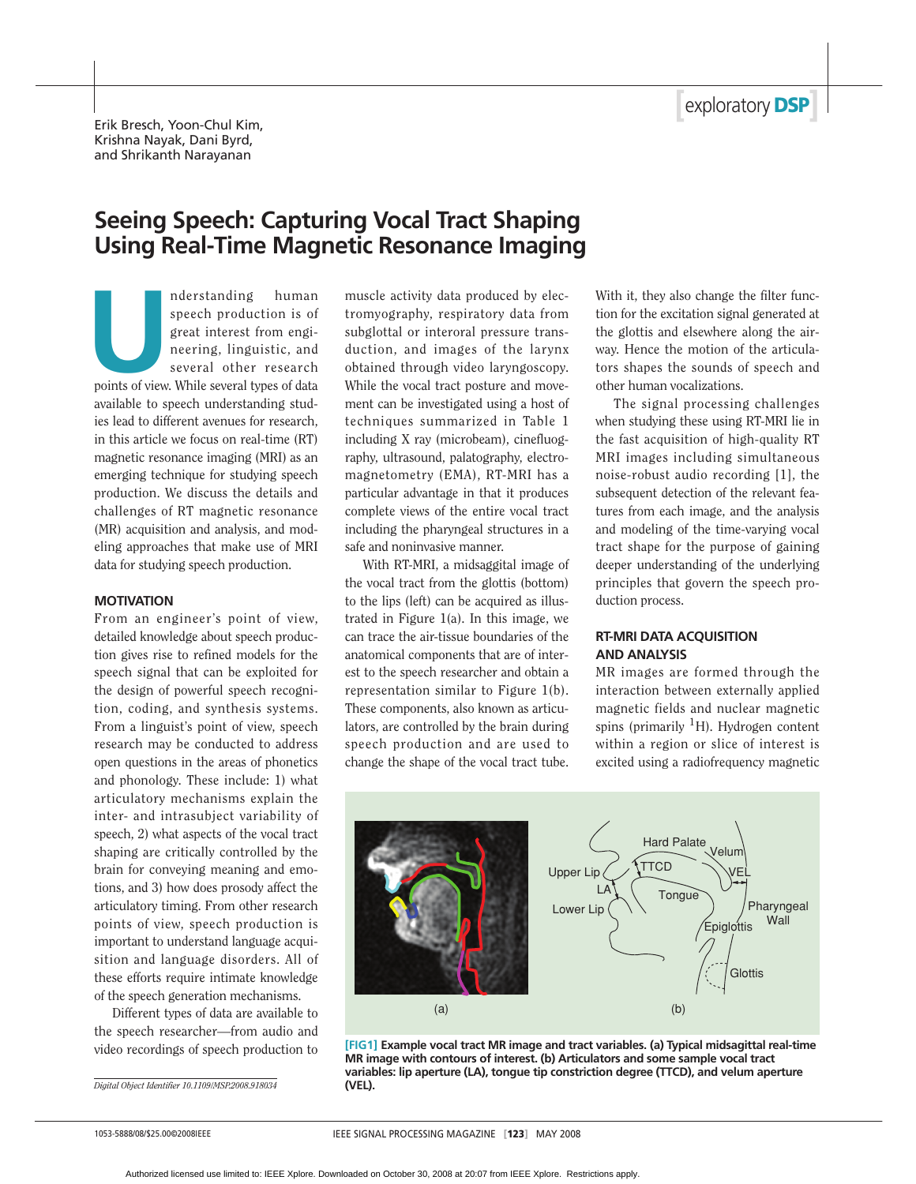

# **Seeing Speech: Capturing Vocal Tract Shaping Using Real-Time Magnetic Resonance Imaging**

**UNDEREVERVIET MANUS SERVIET SERVIET SERVIET SERVIET SERVIET SURFACTS OF SERVIET SURFACTS OF SEVERAL THEORY OF SERVIET SERVIET SURFACTS OF A SERVIET SERVIET SURFACTS OF A SERVIET SURFACTS OF A SERVIET SURFACTS OF A SERVIET** speech production is of great interest from engineering, linguistic, and several other research available to speech understanding studies lead to different avenues for research, in this article we focus on real-time (RT) magnetic resonance imaging (MRI) as an emerging technique for studying speech production. We discuss the details and challenges of RT magnetic resonance (MR) acquisition and analysis, and modeling approaches that make use of MRI data for studying speech production.

## **MOTIVATION**

From an engineer's point of view, detailed knowledge about speech production gives rise to refined models for the speech signal that can be exploited for the design of powerful speech recognition, coding, and synthesis systems. From a linguist's point of view, speech research may be conducted to address open questions in the areas of phonetics and phonology. These include: 1) what articulatory mechanisms explain the inter- and intrasubject variability of speech, 2) what aspects of the vocal tract shaping are critically controlled by the brain for conveying meaning and emotions, and 3) how does prosody affect the articulatory timing. From other research points of view, speech production is important to understand language acquisition and language disorders. All of these efforts require intimate knowledge of the speech generation mechanisms.

Different types of data are available to the speech researcher—from audio and video recordings of speech production to

*Digital Object Identifier 10.1109/MSP.2008.918034*

muscle activity data produced by electromyography, respiratory data from subglottal or interoral pressure transduction, and images of the larynx obtained through video laryngoscopy. While the vocal tract posture and movement can be investigated using a host of techniques summarized in Table 1 including X ray (microbeam), cinefluography, ultrasound, palatography, electromagnetometry (EMA), RT-MRI has a particular advantage in that it produces complete views of the entire vocal tract including the pharyngeal structures in a safe and noninvasive manner.

With RT-MRI, a midsaggital image of the vocal tract from the glottis (bottom) to the lips (left) can be acquired as illustrated in Figure 1(a). In this image, we can trace the air-tissue boundaries of the anatomical components that are of interest to the speech researcher and obtain a representation similar to Figure 1(b). These components, also known as articulators, are controlled by the brain during speech production and are used to change the shape of the vocal tract tube. With it, they also change the filter function for the excitation signal generated at the glottis and elsewhere along the airway. Hence the motion of the articulators shapes the sounds of speech and other human vocalizations.

The signal processing challenges when studying these using RT-MRI lie in the fast acquisition of high-quality RT MRI images including simultaneous noise-robust audio recording [1], the subsequent detection of the relevant features from each image, and the analysis and modeling of the time-varying vocal tract shape for the purpose of gaining deeper understanding of the underlying principles that govern the speech production process.

## **RT-MRI DATA ACQUISITION AND ANALYSIS**

MR images are formed through the interaction between externally applied magnetic fields and nuclear magnetic spins (primarily  ${}^{1}H$ ). Hydrogen content within a region or slice of interest is excited using a radiofrequency magnetic



**[FIG1] Example vocal tract MR image and tract variables. (a) Typical midsagittal real-time MR image with contours of interest. (b) Articulators and some sample vocal tract variables: lip aperture (LA), tongue tip constriction degree (TTCD), and velum aperture (VEL).**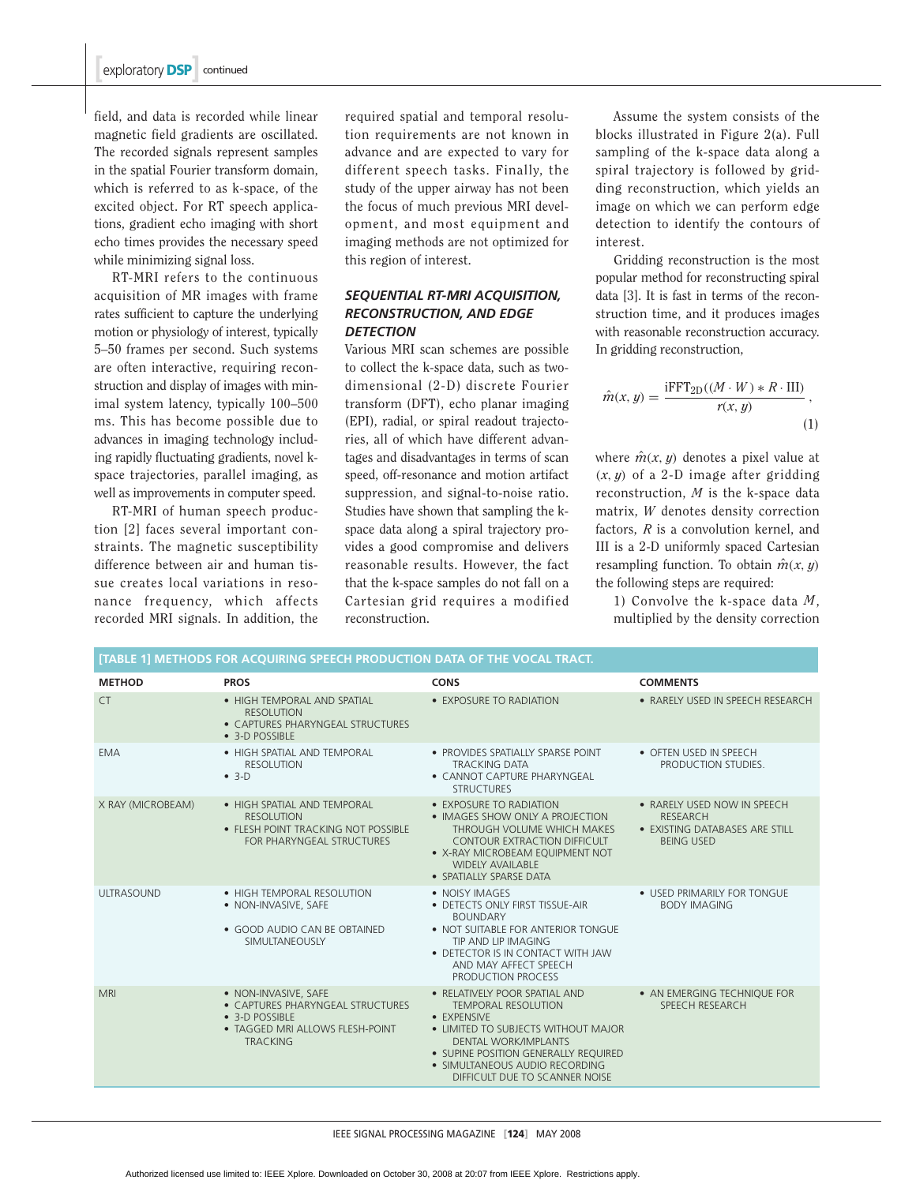field, and data is recorded while linear magnetic field gradients are oscillated. The recorded signals represent samples in the spatial Fourier transform domain, which is referred to as k-space, of the excited object. For RT speech applications, gradient echo imaging with short echo times provides the necessary speed while minimizing signal loss.

RT-MRI refers to the continuous acquisition of MR images with frame rates sufficient to capture the underlying motion or physiology of interest, typically 5–50 frames per second. Such systems are often interactive, requiring reconstruction and display of images with minimal system latency, typically 100–500 ms. This has become possible due to advances in imaging technology including rapidly fluctuating gradients, novel kspace trajectories, parallel imaging, as well as improvements in computer speed.

RT-MRI of human speech production [2] faces several important constraints. The magnetic susceptibility difference between air and human tissue creates local variations in resonance frequency, which affects recorded MRI signals. In addition, the required spatial and temporal resolution requirements are not known in advance and are expected to vary for different speech tasks. Finally, the study of the upper airway has not been the focus of much previous MRI development, and most equipment and imaging methods are not optimized for this region of interest.

# *SEQUENTIAL RT-MRI ACQUISITION, RECONSTRUCTION, AND EDGE DETECTION*

Various MRI scan schemes are possible to collect the k-space data, such as twodimensional (2-D) discrete Fourier transform (DFT), echo planar imaging (EPI), radial, or spiral readout trajectories, all of which have different advantages and disadvantages in terms of scan speed, off-resonance and motion artifact suppression, and signal-to-noise ratio. Studies have shown that sampling the kspace data along a spiral trajectory provides a good compromise and delivers reasonable results. However, the fact that the k-space samples do not fall on a Cartesian grid requires a modified reconstruction.

Assume the system consists of the blocks illustrated in Figure 2(a). Full sampling of the k-space data along a spiral trajectory is followed by gridding reconstruction, which yields an image on which we can perform edge detection to identify the contours of interest.

Gridding reconstruction is the most popular method for reconstructing spiral data [3]. It is fast in terms of the reconstruction time, and it produces images with reasonable reconstruction accuracy. In gridding reconstruction,

$$
\hat{m}(x, y) = \frac{\text{iFFT}_{2D}((M \cdot W) * R \cdot \text{III})}{r(x, y)},
$$
\n(1)

where  $\hat{m}(x, y)$  denotes a pixel value at (*x*, *y*) of a 2-D image after gridding reconstruction, *M* is the k-space data matrix, *W* denotes density correction factors, *R* is a convolution kernel, and III is a 2-D uniformly spaced Cartesian resampling function. To obtain  $\hat{m}(x, y)$ the following steps are required:

1) Convolve the k-space data *M*, multiplied by the density correction

| [TABLE 1] METHODS FOR ACQUIRING SPEECH PRODUCTION DATA OF THE VOCAL TRACT. |                                                                                                                                  |                                                                                                                                                                                                                                                              |                                                                                                       |
|----------------------------------------------------------------------------|----------------------------------------------------------------------------------------------------------------------------------|--------------------------------------------------------------------------------------------------------------------------------------------------------------------------------------------------------------------------------------------------------------|-------------------------------------------------------------------------------------------------------|
| <b>METHOD</b>                                                              | <b>PROS</b>                                                                                                                      | <b>CONS</b>                                                                                                                                                                                                                                                  | <b>COMMENTS</b>                                                                                       |
| CT.                                                                        | • HIGH TEMPORAL AND SPATIAL<br><b>RESOLUTION</b><br>• CAPTURES PHARYNGEAL STRUCTURES<br>• 3-D POSSIBLE                           | • EXPOSURE TO RADIATION                                                                                                                                                                                                                                      | • RARELY USED IN SPEECH RESEARCH                                                                      |
| <b>EMA</b>                                                                 | • HIGH SPATIAL AND TEMPORAL<br><b>RESOLUTION</b><br>$\bullet$ 3-D                                                                | • PROVIDES SPATIALLY SPARSE POINT<br><b>TRACKING DATA</b><br>• CANNOT CAPTURE PHARYNGEAL<br><b>STRUCTURES</b>                                                                                                                                                | • OFTEN USED IN SPEECH<br>PRODUCTION STUDIES.                                                         |
| X RAY (MICROBEAM)                                                          | • HIGH SPATIAL AND TEMPORAL<br><b>RESOLUTION</b><br>• FLESH POINT TRACKING NOT POSSIBLE<br>FOR PHARYNGEAL STRUCTURES             | • EXPOSURE TO RADIATION<br>• IMAGES SHOW ONLY A PROJECTION<br>THROUGH VOLUME WHICH MAKES<br>CONTOUR EXTRACTION DIFFICULT<br>• X-RAY MICROBEAM EQUIPMENT NOT<br><b>WIDELY AVAILABLE</b><br>• SPATIALLY SPARSE DATA                                            | • RARELY USED NOW IN SPEECH<br><b>RESEARCH</b><br>• EXISTING DATABASES ARE STILL<br><b>BEING USED</b> |
| <b>ULTRASOUND</b>                                                          | • HIGH TEMPORAL RESOLUTION<br>• NON-INVASIVE, SAFE<br>• GOOD AUDIO CAN BE OBTAINED<br>SIMULTANEOUSLY                             | • NOISY IMAGES<br>• DETECTS ONLY FIRST TISSUE-AIR<br><b>BOUNDARY</b><br>• NOT SUITABLE FOR ANTERIOR TONGUE<br>TIP AND LIP IMAGING<br>• DETECTOR IS IN CONTACT WITH JAW<br>AND MAY AFFECT SPEECH<br>PRODUCTION PROCESS                                        | • USED PRIMARILY FOR TONGUE<br><b>BODY IMAGING</b>                                                    |
| <b>MRI</b>                                                                 | • NON-INVASIVE, SAFE<br>• CAPTURES PHARYNGEAL STRUCTURES<br>• 3-D POSSIBLE<br>• TAGGED MRI ALLOWS FLESH-POINT<br><b>TRACKING</b> | • RELATIVELY POOR SPATIAL AND<br><b>TEMPORAL RESOLUTION</b><br>• EXPENSIVE<br>• LIMITED TO SUBJECTS WITHOUT MAJOR<br><b>DENTAL WORK/IMPLANTS</b><br>· SUPINE POSITION GENERALLY REQUIRED<br>· SIMULTANEOUS AUDIO RECORDING<br>DIFFICULT DUE TO SCANNER NOISE | • AN EMERGING TECHNIQUE FOR<br>SPEECH RESEARCH                                                        |

IEEE SIGNAL PROCESSING MAGAZINE **[124]** MAY 2008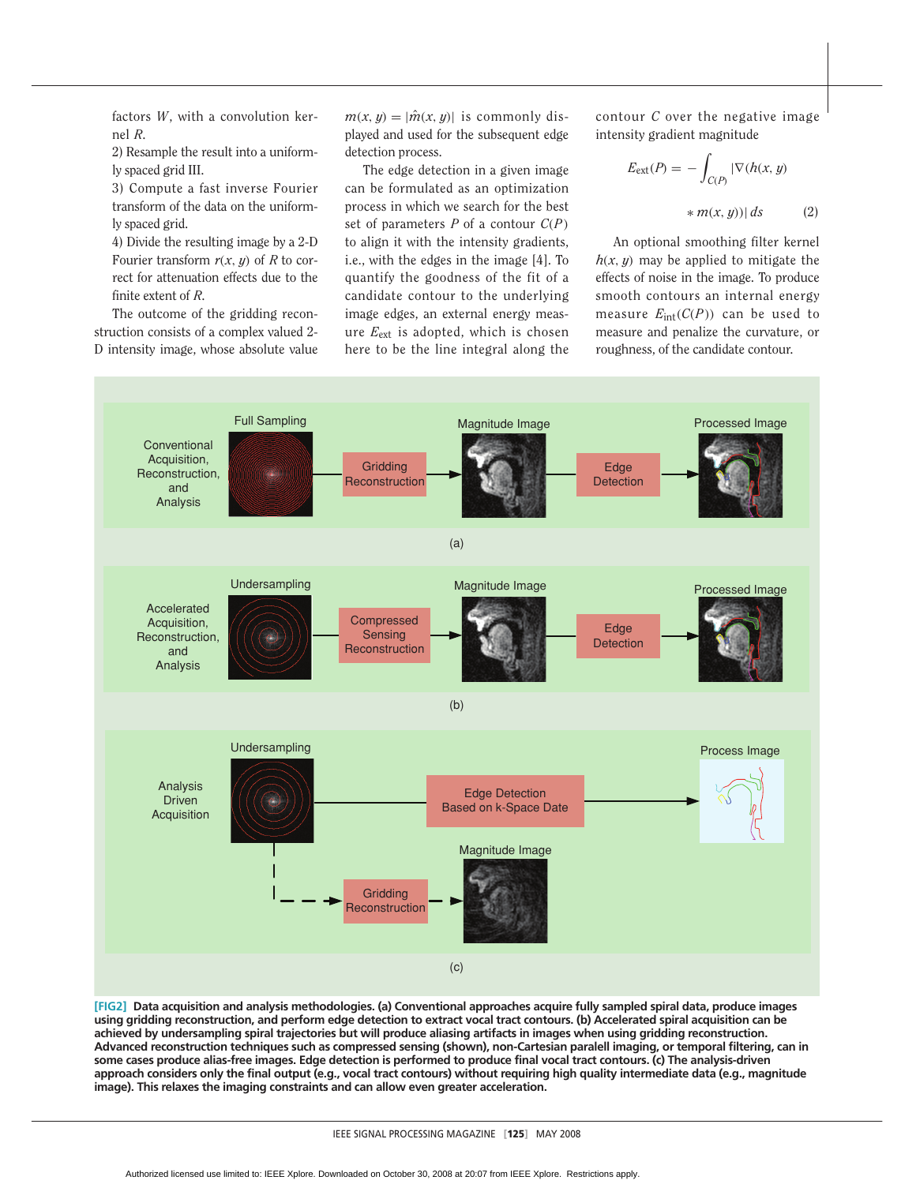factors *W*, with a convolution kernel *R*.

2) Resample the result into a uniformly spaced grid III.

3) Compute a fast inverse Fourier transform of the data on the uniformly spaced grid.

4) Divide the resulting image by a 2-D Fourier transform  $r(x, y)$  of R to correct for attenuation effects due to the finite extent of *R*.

The outcome of the gridding reconstruction consists of a complex valued 2- D intensity image, whose absolute value  $m(x, y) = |\hat{m}(x, y)|$  is commonly displayed and used for the subsequent edge detection process.

The edge detection in a given image can be formulated as an optimization process in which we search for the best set of parameters *P* of a contour *C*(*P*) to align it with the intensity gradients, i.e., with the edges in the image [4]. To quantify the goodness of the fit of a candidate contour to the underlying image edges, an external energy measure *E*ext is adopted, which is chosen here to be the line integral along the contour *C* over the negative image intensity gradient magnitude

$$
E_{ext}(P) = -\int_{C(P)} |\nabla(h(x, y))|
$$
  
 
$$
* m(x, y))| ds
$$
 (2)

An optional smoothing filter kernel  $h(x, y)$  may be applied to mitigate the effects of noise in the image. To produce smooth contours an internal energy measure  $E_{int}(C(P))$  can be used to measure and penalize the curvature, or roughness, of the candidate contour.



**[FIG2] Data acquisition and analysis methodologies. (a) Conventional approaches acquire fully sampled spiral data, produce images using gridding reconstruction, and perform edge detection to extract vocal tract contours. (b) Accelerated spiral acquisition can be achieved by undersampling spiral trajectories but will produce aliasing artifacts in images when using gridding reconstruction. Advanced reconstruction techniques such as compressed sensing (shown), non-Cartesian paralell imaging, or temporal filtering, can in some cases produce alias-free images. Edge detection is performed to produce final vocal tract contours. (c) The analysis-driven approach considers only the final output (e.g., vocal tract contours) without requiring high quality intermediate data (e.g., magnitude image). This relaxes the imaging constraints and can allow even greater acceleration.**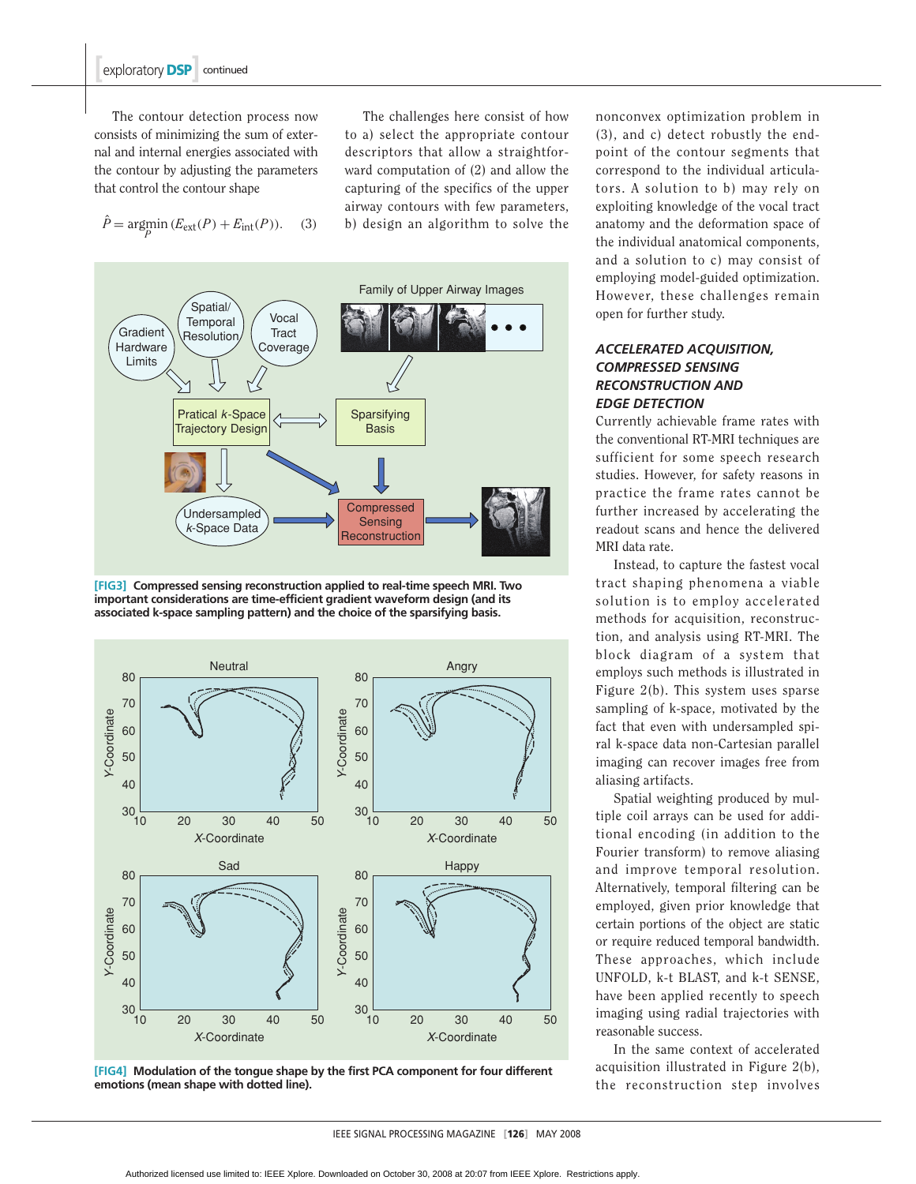The contour detection process now consists of minimizing the sum of external and internal energies associated with the contour by adjusting the parameters that control the contour shape

The challenges here consist of how to a) select the appropriate contour descriptors that allow a straightforward computation of (2) and allow the capturing of the specifics of the upper airway contours with few parameters, b) design an algorithm to solve the





**[FIG3] Compressed sensing reconstruction applied to real-time speech MRI. Two important considerations are time-efficient gradient waveform design (and its associated k-space sampling pattern) and the choice of the sparsifying basis.**



**[FIG4] Modulation of the tongue shape by the first PCA component for four different emotions (mean shape with dotted line).**

nonconvex optimization problem in (3), and c) detect robustly the endpoint of the contour segments that correspond to the individual articulators. A solution to b) may rely on exploiting knowledge of the vocal tract anatomy and the deformation space of the individual anatomical components, and a solution to c) may consist of employing model-guided optimization. However, these challenges remain open for further study.

# *ACCELERATED ACQUISITION, COMPRESSED SENSING RECONSTRUCTION AND EDGE DETECTION*

Currently achievable frame rates with the conventional RT-MRI techniques are sufficient for some speech research studies. However, for safety reasons in practice the frame rates cannot be further increased by accelerating the readout scans and hence the delivered MRI data rate.

Instead, to capture the fastest vocal tract shaping phenomena a viable solution is to employ accelerated methods for acquisition, reconstruction, and analysis using RT-MRI. The block diagram of a system that employs such methods is illustrated in Figure 2(b). This system uses sparse sampling of k-space, motivated by the fact that even with undersampled spiral k-space data non-Cartesian parallel imaging can recover images free from aliasing artifacts.

Spatial weighting produced by multiple coil arrays can be used for additional encoding (in addition to the Fourier transform) to remove aliasing and improve temporal resolution. Alternatively, temporal filtering can be employed, given prior knowledge that certain portions of the object are static or require reduced temporal bandwidth. These approaches, which include UNFOLD, k-t BLAST, and k-t SENSE, have been applied recently to speech imaging using radial trajectories with reasonable success.

In the same context of accelerated acquisition illustrated in Figure 2(b), the reconstruction step involves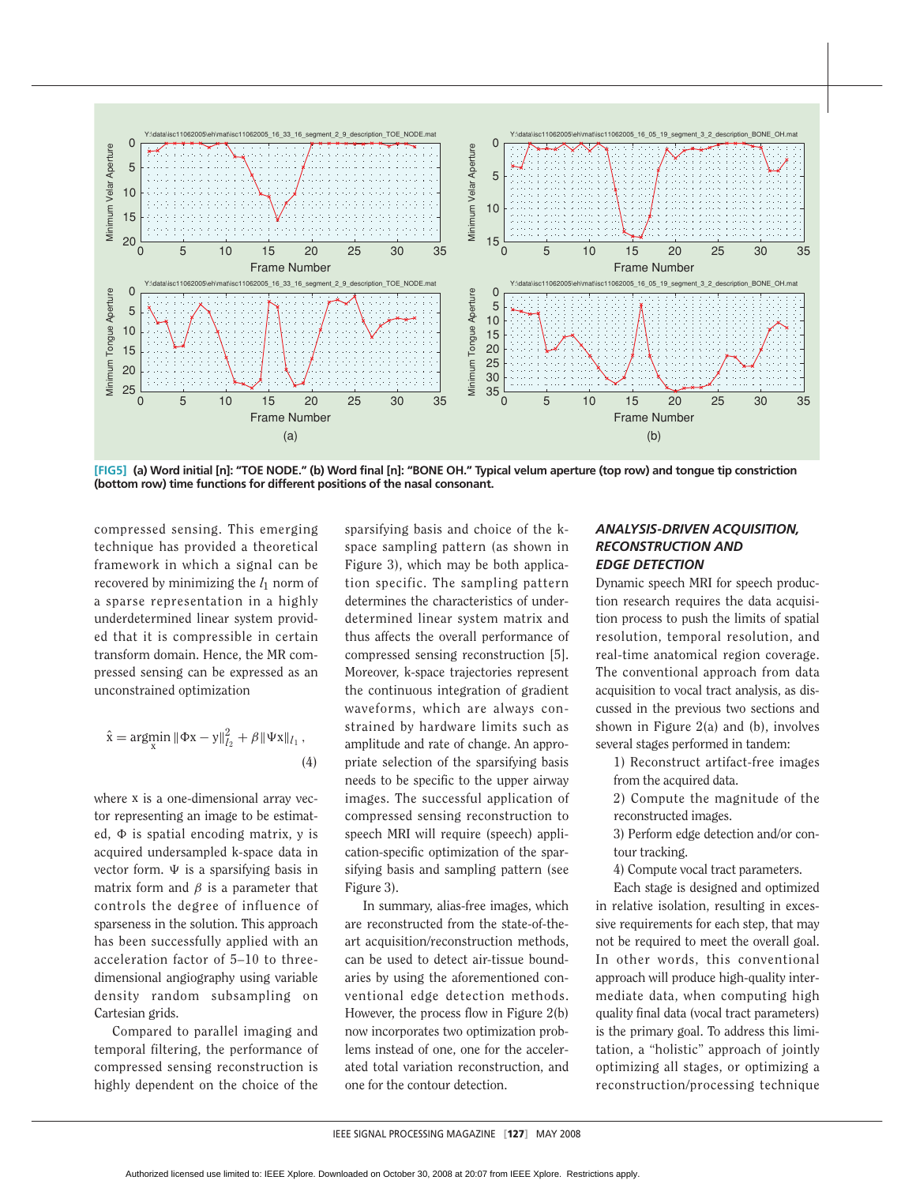

**[FIG5] (a) Word initial [n]: "TOE NODE." (b) Word final [n]: "BONE OH." Typical velum aperture (top row) and tongue tip constriction (bottom row) time functions for different positions of the nasal consonant.**

compressed sensing. This emerging technique has provided a theoretical framework in which a signal can be recovered by minimizing the *l*<sup>1</sup> norm of a sparse representation in a highly underdetermined linear system provided that it is compressible in certain transform domain. Hence, the MR compressed sensing can be expressed as an unconstrained optimization

$$
\hat{x} = \underset{x}{\arg\min} \|\Phi x - y\|_{l_2}^2 + \beta \|\Psi x\|_{l_1},
$$
\n(4)

where x is a one-dimensional array vector representing an image to be estimated,  $\Phi$  is spatial encoding matrix, y is acquired undersampled k-space data in vector form.  $\Psi$  is a sparsifying basis in matrix form and  $\beta$  is a parameter that controls the degree of influence of sparseness in the solution. This approach has been successfully applied with an acceleration factor of 5–10 to threedimensional angiography using variable density random subsampling on Cartesian grids.

Compared to parallel imaging and temporal filtering, the performance of compressed sensing reconstruction is highly dependent on the choice of the sparsifying basis and choice of the kspace sampling pattern (as shown in Figure 3), which may be both application specific. The sampling pattern determines the characteristics of underdetermined linear system matrix and thus affects the overall performance of compressed sensing reconstruction [5]. Moreover, k-space trajectories represent the continuous integration of gradient waveforms, which are always constrained by hardware limits such as amplitude and rate of change. An appropriate selection of the sparsifying basis needs to be specific to the upper airway images. The successful application of compressed sensing reconstruction to speech MRI will require (speech) application-specific optimization of the sparsifying basis and sampling pattern (see Figure 3).

In summary, alias-free images, which are reconstructed from the state-of-theart acquisition/reconstruction methods, can be used to detect air-tissue boundaries by using the aforementioned conventional edge detection methods. However, the process flow in Figure 2(b) now incorporates two optimization problems instead of one, one for the accelerated total variation reconstruction, and one for the contour detection.

## *ANALYSIS-DRIVEN ACQUISITION, RECONSTRUCTION AND EDGE DETECTION*

Dynamic speech MRI for speech production research requires the data acquisition process to push the limits of spatial resolution, temporal resolution, and real-time anatomical region coverage. The conventional approach from data acquisition to vocal tract analysis, as discussed in the previous two sections and shown in Figure 2(a) and (b), involves several stages performed in tandem:

1) Reconstruct artifact-free images from the acquired data.

2) Compute the magnitude of the reconstructed images.

3) Perform edge detection and/or contour tracking.

4) Compute vocal tract parameters.

Each stage is designed and optimized in relative isolation, resulting in excessive requirements for each step, that may not be required to meet the overall goal. In other words, this conventional approach will produce high-quality intermediate data, when computing high quality final data (vocal tract parameters) is the primary goal. To address this limitation, a "holistic" approach of jointly optimizing all stages, or optimizing a reconstruction/processing technique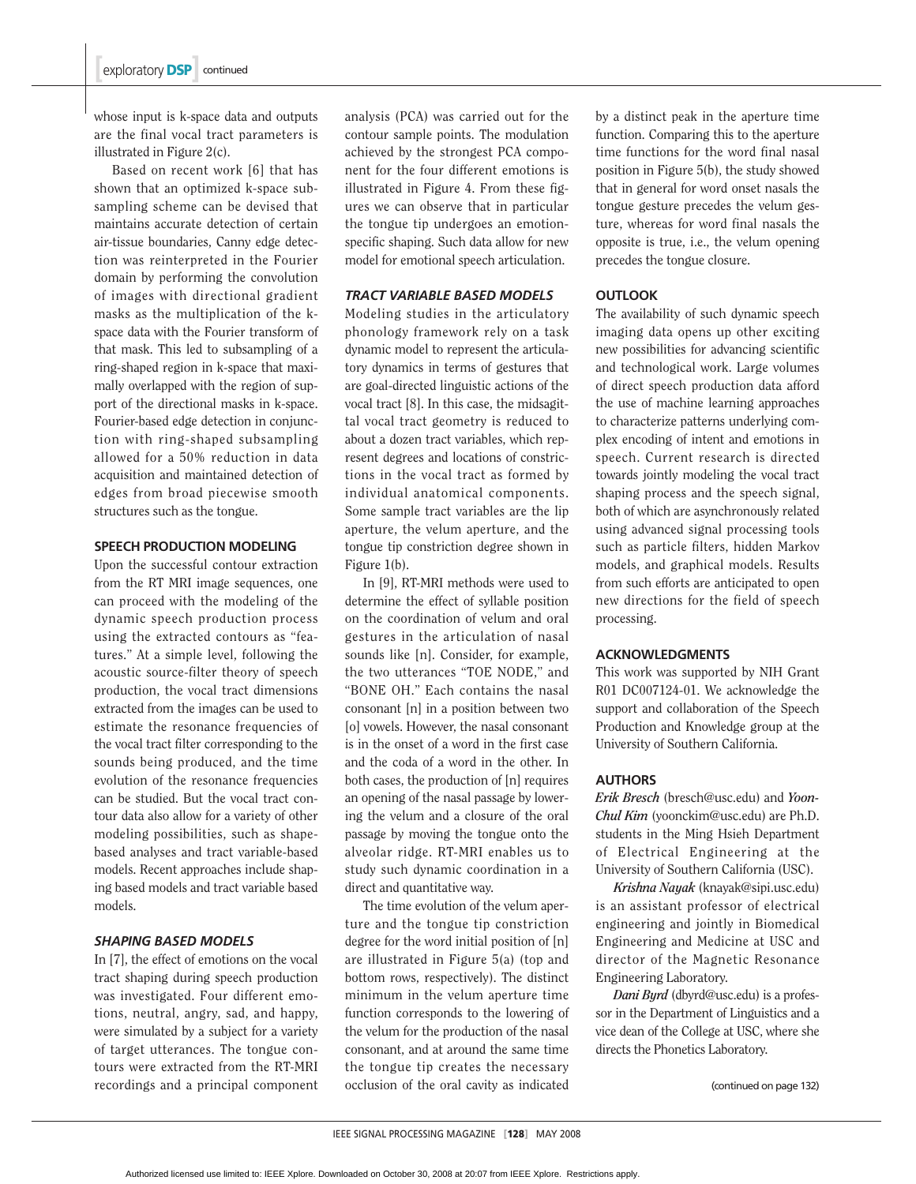whose input is k-space data and outputs are the final vocal tract parameters is illustrated in Figure 2(c).

Based on recent work [6] that has shown that an optimized k-space subsampling scheme can be devised that maintains accurate detection of certain air-tissue boundaries, Canny edge detection was reinterpreted in the Fourier domain by performing the convolution of images with directional gradient masks as the multiplication of the kspace data with the Fourier transform of that mask. This led to subsampling of a ring-shaped region in k-space that maximally overlapped with the region of support of the directional masks in k-space. Fourier-based edge detection in conjunction with ring-shaped subsampling allowed for a 50% reduction in data acquisition and maintained detection of edges from broad piecewise smooth structures such as the tongue.

## **SPEECH PRODUCTION MODELING**

Upon the successful contour extraction from the RT MRI image sequences, one can proceed with the modeling of the dynamic speech production process using the extracted contours as "features." At a simple level, following the acoustic source-filter theory of speech production, the vocal tract dimensions extracted from the images can be used to estimate the resonance frequencies of the vocal tract filter corresponding to the sounds being produced, and the time evolution of the resonance frequencies can be studied. But the vocal tract contour data also allow for a variety of other modeling possibilities, such as shapebased analyses and tract variable-based models. Recent approaches include shaping based models and tract variable based models.

### *SHAPING BASED MODELS*

In [7], the effect of emotions on the vocal tract shaping during speech production was investigated. Four different emotions, neutral, angry, sad, and happy, were simulated by a subject for a variety of target utterances. The tongue contours were extracted from the RT-MRI recordings and a principal component analysis (PCA) was carried out for the contour sample points. The modulation achieved by the strongest PCA component for the four different emotions is illustrated in Figure 4. From these figures we can observe that in particular the tongue tip undergoes an emotionspecific shaping. Such data allow for new model for emotional speech articulation.

## *TRACT VARIABLE BASED MODELS*

Modeling studies in the articulatory phonology framework rely on a task dynamic model to represent the articulatory dynamics in terms of gestures that are goal-directed linguistic actions of the vocal tract [8]. In this case, the midsagittal vocal tract geometry is reduced to about a dozen tract variables, which represent degrees and locations of constrictions in the vocal tract as formed by individual anatomical components. Some sample tract variables are the lip aperture, the velum aperture, and the tongue tip constriction degree shown in Figure 1(b).

In [9], RT-MRI methods were used to determine the effect of syllable position on the coordination of velum and oral gestures in the articulation of nasal sounds like [n]. Consider, for example, the two utterances "TOE NODE," and "BONE OH." Each contains the nasal consonant [n] in a position between two [o] vowels. However, the nasal consonant is in the onset of a word in the first case and the coda of a word in the other. In both cases, the production of [n] requires an opening of the nasal passage by lowering the velum and a closure of the oral passage by moving the tongue onto the alveolar ridge. RT-MRI enables us to study such dynamic coordination in a direct and quantitative way.

The time evolution of the velum aperture and the tongue tip constriction degree for the word initial position of [n] are illustrated in Figure 5(a) (top and bottom rows, respectively). The distinct minimum in the velum aperture time function corresponds to the lowering of the velum for the production of the nasal consonant, and at around the same time the tongue tip creates the necessary occlusion of the oral cavity as indicated by a distinct peak in the aperture time function. Comparing this to the aperture time functions for the word final nasal position in Figure 5(b), the study showed that in general for word onset nasals the tongue gesture precedes the velum gesture, whereas for word final nasals the opposite is true, i.e., the velum opening precedes the tongue closure.

## **OUTLOOK**

The availability of such dynamic speech imaging data opens up other exciting new possibilities for advancing scientific and technological work. Large volumes of direct speech production data afford the use of machine learning approaches to characterize patterns underlying complex encoding of intent and emotions in speech. Current research is directed towards jointly modeling the vocal tract shaping process and the speech signal, both of which are asynchronously related using advanced signal processing tools such as particle filters, hidden Markov models, and graphical models. Results from such efforts are anticipated to open new directions for the field of speech processing.

#### **ACKNOWLEDGMENTS**

This work was supported by NIH Grant R01 DC007124-01. We acknowledge the support and collaboration of the Speech Production and Knowledge group at the University of Southern California.

## **AUTHORS**

*Erik Bresch* (bresch@usc.edu) and *Yoon-Chul Kim* (yoonckim@usc.edu) are Ph.D. students in the Ming Hsieh Department of Electrical Engineering at the University of Southern California (USC).

*Krishna Nayak* (knayak@sipi.usc.edu) is an assistant professor of electrical engineering and jointly in Biomedical Engineering and Medicine at USC and director of the Magnetic Resonance Engineering Laboratory.

*Dani Byrd* (dbyrd@usc.edu) is a professor in the Department of Linguistics and a vice dean of the College at USC, where she directs the Phonetics Laboratory.

(continued on page 132)